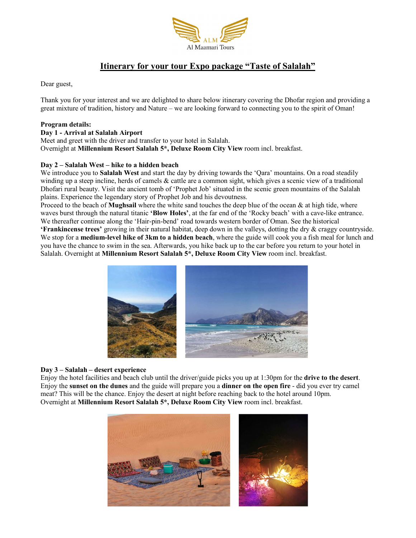

# Itinerary for your tour Expo package "Taste of Salalah"

Dear guest,

Thank you for your interest and we are delighted to share below itinerary covering the Dhofar region and providing a great mixture of tradition, history and Nature – we are looking forward to connecting you to the spirit of Oman!

## Program details:

Day 1 - Arrival at Salalah Airport

Meet and greet with the driver and transfer to your hotel in Salalah. Overnight at Millennium Resort Salalah 5\*, Deluxe Room City View room incl. breakfast.

## Day 2 – Salalah West – hike to a hidden beach

We introduce you to Salalah West and start the day by driving towards the 'Qara' mountains. On a road steadily winding up a steep incline, herds of camels & cattle are a common sight, which gives a scenic view of a traditional Dhofari rural beauty. Visit the ancient tomb of 'Prophet Job' situated in the scenic green mountains of the Salalah plains. Experience the legendary story of Prophet Job and his devoutness.

Proceed to the beach of **Mughsail** where the white sand touches the deep blue of the ocean  $\&$  at high tide, where waves burst through the natural titanic 'Blow Holes', at the far end of the 'Rocky beach' with a cave-like entrance. We thereafter continue along the 'Hair-pin-bend' road towards western border of Oman. See the historical

'Frankincense trees' growing in their natural habitat, deep down in the valleys, dotting the dry & craggy countryside. We stop for a medium-level hike of 3km to a hidden beach, where the guide will cook you a fish meal for lunch and you have the chance to swim in the sea. Afterwards, you hike back up to the car before you return to your hotel in Salalah. Overnight at Millennium Resort Salalah 5\*, Deluxe Room City View room incl. breakfast.



### Day 3 – Salalah – desert experience

Enjoy the hotel facilities and beach club until the driver/guide picks you up at 1:30pm for the **drive to the desert**.<br>Enjoy the **sunset on the dunes** and the guide will prepare you a **dinner on the open fire** - did you ev meat? This will be the chance. Enjoy the desert at night before reaching back to the hotel around 10pm. Overnight at Millennium Resort Salalah 5\*, Deluxe Room City View room incl. breakfast.

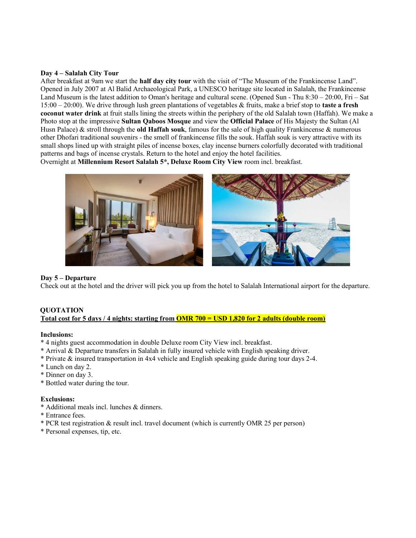#### Day 4 – Salalah City Tour

After breakfast at 9am we start the **half day city tour** with the visit of "The Museum of the Frankincense Land". Opened in July 2007 at Al Balid Archaeological Park, a UNESCO heritage site located in Salalah, the Frankincense Land Museum is the latest addition to Oman's heritage and cultural scene. (Opened Sun - Thu 8:30 – 20:00, Fri – Sat  $15:00 - 20:00$ . We drive through lush green plantations of vegetables & fruits, make a brief stop to **taste a fresh** coconut water drink at fruit stalls lining the streets within the periphery of the old Salalah town (Haffah). We make a Photo stop at the impressive Sultan Qaboos Mosque and view the Official Palace of His Majesty the Sultan (Al Husn Palace)  $\&$  stroll through the **old Haffah souk**, famous for the sale of high quality Frankincense  $\&$  numerous other Dhofari traditional souvenirs - the smell of frankincense fills the souk. Haffah souk is very attractive with its small shops lined up with straight piles of incense boxes, clay incense burners colorfully decorated with traditional patterns and bags of incense crystals. Return to the hotel and enjoy the hotel facilities.

Overnight at Millennium Resort Salalah 5\*, Deluxe Room City View room incl. breakfast.



### Day 5 – Departure

Check out at the hotel and the driver will pick you up from the hotel to Salalah International airport for the departure.

# **OUOTATION** Total cost for 5 days / 4 nights: starting from **OMR 700 = USD 1,820 for 2 adults (double room)**

### Inclusions:

- \* 4 nights guest accommodation in double Deluxe room City View incl. breakfast.
- \* Arrival & Departure transfers in Salalah in fully insured vehicle with English speaking driver.
- \* Private & insured transportation in 4x4 vehicle and English speaking guide during tour days 2-4.
- \* Lunch on day 2.
- \* Dinner on day 3.
- \* Bottled water during the tour.

### Exclusions:

- \* Additional meals incl. lunches & dinners.
- \* Entrance fees.
- \* PCR test registration & result incl. travel document (which is currently OMR 25 per person)
- \* Personal expenses, tip, etc.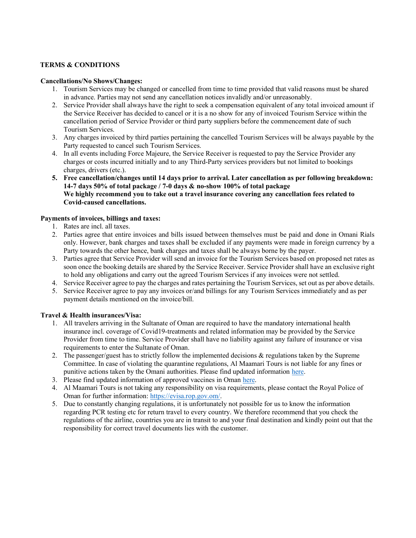## TERMS & CONDITIONS

#### Cancellations/No Shows/Changes:

- 1. Tourism Services may be changed or cancelled from time to time provided that valid reasons must be shared in advance. Parties may not send any cancellation notices invalidly and/or unreasonably.
- 2. Service Provider shall always have the right to seek a compensation equivalent of any total invoiced amount if the Service Receiver has decided to cancel or it is a no show for any of invoiced Tourism Service within the cancellation period of Service Provider or third party suppliers before the commencement date of such Tourism Services.
- 3. Any charges invoiced by third parties pertaining the cancelled Tourism Services will be always payable by the Party requested to cancel such Tourism Services.
- 4. In all events including Force Majeure, the Service Receiver is requested to pay the Service Provider any charges or costs incurred initially and to any Third-Party services providers but not limited to bookings charges, drivers (etc.).
- 5. Free cancellation/changes until 14 days prior to arrival. Later cancellation as per following breakdown: 14-7 days 50% of total package / 7-0 days & no-show 100% of total package We highly recommend you to take out a travel insurance covering any cancellation fees related to Covid-caused cancellations.

## Payments of invoices, billings and taxes:

- 1. Rates are incl. all taxes.
- 2. Parties agree that entire invoices and bills issued between themselves must be paid and done in Omani Rials only. However, bank charges and taxes shall be excluded if any payments were made in foreign currency by a Party towards the other hence, bank charges and taxes shall be always borne by the payer.
- 3. Parties agree that Service Provider will send an invoice for the Tourism Services based on proposed net rates as soon once the booking details are shared by the Service Receiver. Service Provider shall have an exclusive right to hold any obligations and carry out the agreed Tourism Services if any invoices were not settled.
- 4. Service Receiver agree to pay the charges and rates pertaining the Tourism Services, set out as per above details.
- 5. Service Receiver agree to pay any invoices or/and billings for any Tourism Services immediately and as per payment details mentioned on the invoice/bill.

### Travel & Health insurances/Visa:

- 1. All travelers arriving in the Sultanate of Oman are required to have the mandatory international health insurance incl. coverage of Covid19-treatments and related information may be provided by the Service Provider from time to time. Service Provider shall have no liability against any failure of insurance or visa requirements to enter the Sultanate of Oman.
- 2. The passenger/guest has to strictly follow the implemented decisions & regulations taken by the Supreme Committee. In case of violating the quarantine regulations, Al Maamari Tours is not liable for any fines or punitive actions taken by the Omani authorities. Please find updated information here.
- 3. Please find updated information of approved vaccines in Oman here.
- 4. Al Maamari Tours is not taking any responsibility on visa requirements, please contact the Royal Police of Oman for further information: https://evisa.rop.gov.om/.
- 5. Due to constantly changing regulations, it is unfortunately not possible for us to know the information regarding PCR testing etc for return travel to every country. We therefore recommend that you check the regulations of the airline, countries you are in transit to and your final destination and kindly point out that the responsibility for correct travel documents lies with the customer.